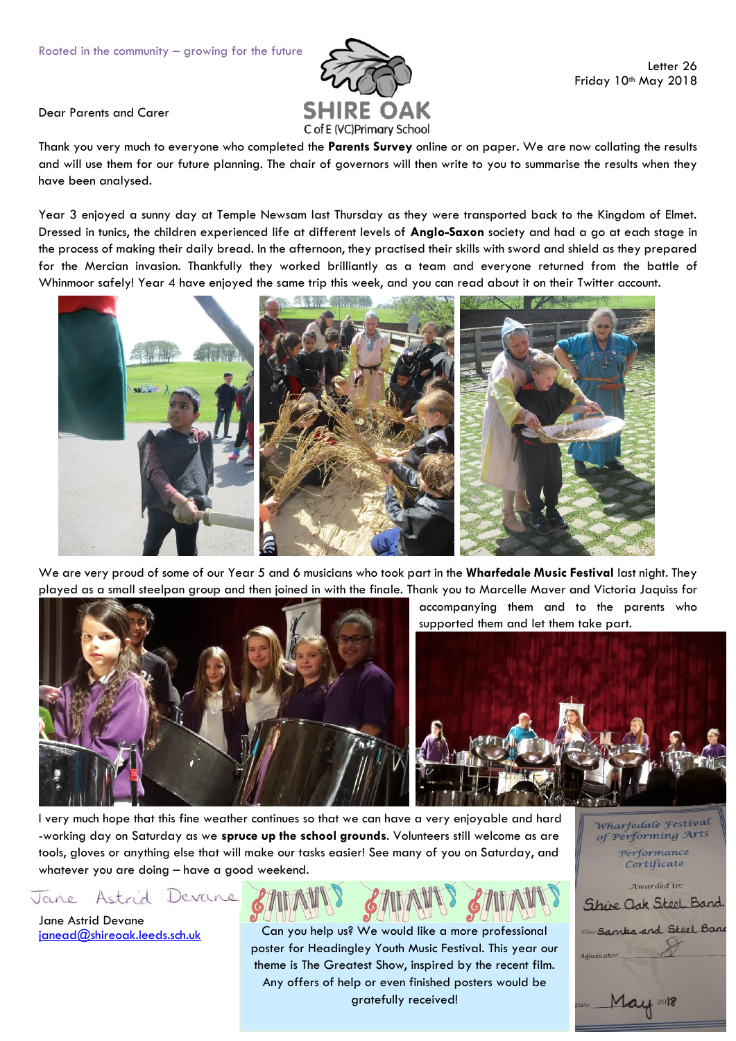

Dear Parents and Carer

Thank you very much to everyone who completed the **Parents Survey** online or on paper. We are now collating the results and will use them for our future planning. The chair of governors will then write to you to summarise the results when they have been analysed.

Year 3 enjoyed a sunny day at Temple Newsam last Thursday as they were transported back to the Kingdom of Elmet. Dressed in tunics, the children experienced life at different levels of **Anglo-Saxon** society and had a go at each stage in the process of making their daily bread. In the afternoon, they practised their skills with sword and shield as they prepared for the Mercian invasion. Thankfully they worked brilliantly as a team and everyone returned from the battle of Whinmoor safely! Year 4 have enjoyed the same trip this week, and you can read about it on their Twitter account.



We are very proud of some of our Year 5 and 6 musicians who took part in the **Wharfedale Music Festival** last night. They played as a small steelpan group and then joined in with the finale. Thank you to Marcelle Maver and Victoria Jaquiss for



I very much hope that this fine weather continues so that we can have a very enjoyable and hard -working day on Saturday as we **spruce up the school grounds**. Volunteers still welcome as are tools, gloves or anything else that will make our tasks easier! See many of you on Saturday, and whatever you are doing – have a good weekend.

Astrid Devane Jane

Jane Astrid Devane [janead@shireoak.leeds.sch.uk](mailto:janead@shireoak.leeds.sch.uk)

Can you help us? We would like a more professional poster for Headingley Youth Music Festival. This year our theme is The Greatest Show, inspired by the recent film. Any offers of help or even finished posters would be gratefully received!

Wharfedale Festival of Performing Arts Performance Certificate

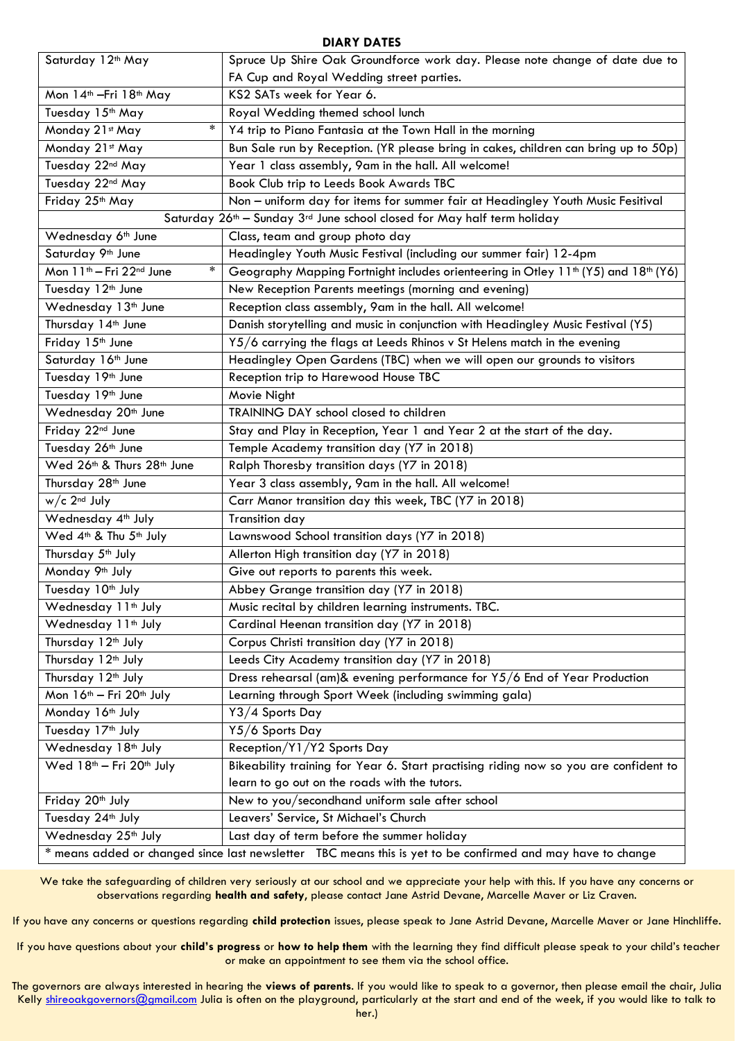## **DIARY DATES**

| Saturday 12 <sup>th</sup> May                                                                               | Spruce Up Shire Oak Groundforce work day. Please note change of date due to                                |
|-------------------------------------------------------------------------------------------------------------|------------------------------------------------------------------------------------------------------------|
|                                                                                                             | FA Cup and Royal Wedding street parties.                                                                   |
| Mon 14 <sup>th</sup> - Fri 18 <sup>th</sup> May                                                             | KS2 SATs week for Year 6.                                                                                  |
| Tuesday 15th May                                                                                            | Royal Wedding themed school lunch                                                                          |
| *<br>Monday 21st May                                                                                        | Y4 trip to Piano Fantasia at the Town Hall in the morning                                                  |
| Monday 21st May                                                                                             | Bun Sale run by Reception. (YR please bring in cakes, children can bring up to 50p)                        |
| Tuesday 22nd May                                                                                            | Year 1 class assembly, 9am in the hall. All welcome!                                                       |
| Tuesday 22nd May                                                                                            | Book Club trip to Leeds Book Awards TBC                                                                    |
| Friday 25 <sup>th</sup> May                                                                                 | Non - uniform day for items for summer fair at Headingley Youth Music Fesitival                            |
| Saturday 26 <sup>th</sup> - Sunday 3 <sup>rd</sup> June school closed for May half term holiday             |                                                                                                            |
| Wednesday 6 <sup>th</sup> June                                                                              | Class, team and group photo day                                                                            |
| Saturday 9 <sup>th</sup> June                                                                               | Headingley Youth Music Festival (including our summer fair) 12-4pm                                         |
| Mon 11 <sup>th</sup> - Fri 22 <sup>nd</sup> June<br>*                                                       | Geography Mapping Fortnight includes orienteering in Otley 11 <sup>th</sup> (Y5) and 18 <sup>th</sup> (Y6) |
| Tuesday 12 <sup>th</sup> June                                                                               | New Reception Parents meetings (morning and evening)                                                       |
| Wednesday 13 <sup>th</sup> June                                                                             | Reception class assembly, 9am in the hall. All welcome!                                                    |
| Thursday 14th June                                                                                          | Danish storytelling and music in conjunction with Headingley Music Festival (Y5)                           |
| Friday 15 <sup>th</sup> June                                                                                | Y5/6 carrying the flags at Leeds Rhinos v St Helens match in the evening                                   |
| Saturday 16 <sup>th</sup> June                                                                              | Headingley Open Gardens (TBC) when we will open our grounds to visitors                                    |
| Tuesday 19th June                                                                                           | Reception trip to Harewood House TBC                                                                       |
| Tuesday 19th June                                                                                           | Movie Night                                                                                                |
| Wednesday 20 <sup>th</sup> June                                                                             | TRAINING DAY school closed to children                                                                     |
| Friday 22nd June                                                                                            | Stay and Play in Reception, Year 1 and Year 2 at the start of the day.                                     |
| Tuesday 26th June                                                                                           | Temple Academy transition day (Y7 in 2018)                                                                 |
| Wed 26th & Thurs 28th June                                                                                  | Ralph Thoresby transition days (Y7 in 2018)                                                                |
| Thursday 28 <sup>th</sup> June                                                                              | Year 3 class assembly, 9am in the hall. All welcome!                                                       |
| $w/c$ 2 <sup>nd</sup> July                                                                                  | Carr Manor transition day this week, TBC (Y7 in 2018)                                                      |
| Wednesday 4 <sup>th</sup> July                                                                              | Transition day                                                                                             |
| Wed 4 <sup>th</sup> & Thu 5 <sup>th</sup> July                                                              | Lawnswood School transition days (Y7 in 2018)                                                              |
| Thursday 5 <sup>th</sup> July                                                                               | Allerton High transition day (Y7 in 2018)                                                                  |
| Monday 9 <sup>th</sup> July                                                                                 | Give out reports to parents this week.                                                                     |
| Tuesday 10th July                                                                                           | Abbey Grange transition day (Y7 in 2018)                                                                   |
| Wednesday 11 <sup>th</sup> July                                                                             | Music recital by children learning instruments. TBC.                                                       |
| Wednesday 11 <sup>th</sup> July                                                                             | Cardinal Heenan transition day (Y7 in 2018)                                                                |
| Thursday 12 <sup>th</sup> July                                                                              | Corpus Christi transition day (Y7 in 2018)                                                                 |
| Thursday 12 <sup>th</sup> July                                                                              | Leeds City Academy transition day (Y7 in 2018)                                                             |
| Thursday 12 <sup>th</sup> July                                                                              | Dress rehearsal (am)& evening performance for Y5/6 End of Year Production                                  |
| Mon 16 <sup>th</sup> - Fri 20 <sup>th</sup> July                                                            | Learning through Sport Week (including swimming gala)                                                      |
| Monday 16 <sup>th</sup> July                                                                                | Y3/4 Sports Day                                                                                            |
| Tuesday 17 <sup>th</sup> July                                                                               | Y5/6 Sports Day                                                                                            |
| Wednesday 18 <sup>th</sup> July                                                                             | Reception/Y1/Y2 Sports Day                                                                                 |
| Wed 18 <sup>th</sup> - Fri 20 <sup>th</sup> July                                                            | Bikeability training for Year 6. Start practising riding now so you are confident to                       |
|                                                                                                             | learn to go out on the roads with the tutors.                                                              |
| Friday 20 <sup>th</sup> July                                                                                | New to you/secondhand uniform sale after school                                                            |
| Tuesday 24 <sup>th</sup> July                                                                               | Leavers' Service, St Michael's Church                                                                      |
| Wednesday 25 <sup>th</sup> July                                                                             | Last day of term before the summer holiday                                                                 |
| * means added or changed since last newsletter TBC means this is yet to be confirmed and may have to change |                                                                                                            |

We take the safeguarding of children very seriously at our school and we appreciate your help with this. If you have any concerns or observations regarding **health and safety**, please contact Jane Astrid Devane, Marcelle Maver or Liz Craven.

If you have any concerns or questions regarding **child protection** issues, please speak to Jane Astrid Devane, Marcelle Maver or Jane Hinchliffe.

If you have questions about your **child's progress** or **how to help them** with the learning they find difficult please speak to your child's teacher or make an appointment to see them via the school office.

The governors are always interested in hearing the **views of parents**. If you would like to speak to a governor, then please email the chair, Julia Kelly [shireoakgovernors@gmail.com](mailto:shireoakgovernors@gmail.com) Julia is often on the playground, particularly at the start and end of the week, if you would like to talk to